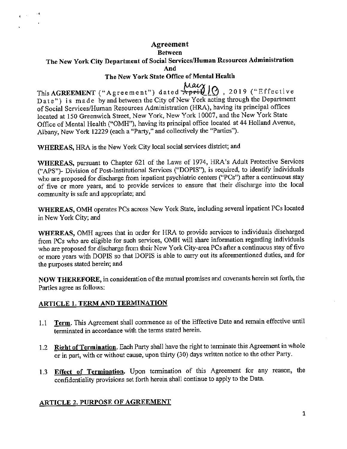### **Agreement**  Between The New York City Department of Social Services/Human Resources Administration **And**  The New York State Office of Mental Health

This **AGREEMENT** ("Agreement") dated **April 10**, 2019 ("Effective Date") is made by and between the City of New York acting through the Department of Social Services/Human Resources Administration (HRA), having its principal offices located at 150 Greenwich Street, New York, New York I 0007, and the New York State Office of Mental Health ("OMH"), having its principal office located at 44 Holland Avenue, Albany, New York 12229 (each a "Party," and collectively the "Parties").

WHEREAS, HRA is the New York City local social services district; and

WHEREAS, pursuant to Chapter 621 of the Laws of 1974, HRA's Adult Protective Services ("APS")- Division of Post-Institutional Services ("DOPIS"), is required, to identify individuals who are proposed for discharge from inpatient psychiatric centers ("PCs") after a continuous stay of five or more years, and to provide services to ensure that their discharge into the local community is safe and appropriate; and

WHEREAS, OMH operates PCs across New York State, including several inpatient PCs located in New York City; and

WHEREAS, OMH agrees that in order for HRA to provide services to individuals discharged from PCs who are eligible for such services, OMH will share information regarding individuals who are proposed for discharge from their New York City-area PCs after a continuous stay of five or more years with DOPIS so that DOPIS is able to carry out its aforementioned duties, and for the purposes stated herein; and

NOW THEREFORE, in consideration of the mutual promises and covenants herein set forth, the Parties agree as follows:

#### ARTICLE 1. TERM AND TERMINATION

- 1.1 Term. This Agreement shall commence as of the Effective Date and remain effective until terminated in accordance with the terms stated herein.
- 1.2 Right of Termination. Each Party shall have the right to terminate this Agreement in whole or in part, with or without cause, upon thirty (30) days written notice to the other Party.
- 1.3 Effect of Termination. Upon termination of this Agreement for any reason, the confidentiality provisions set forth herein shall continue to apply to the Data.

#### ARTICLE 2. PURPOSE OF AGREEMENT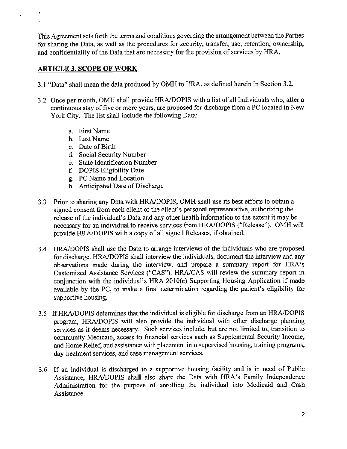This Agreement sets forth the terms and conditions governing the arrangement between the Parties for sharing the Data, as well as the procedures for security, transfer, use, retention, ownership, and confidentiality of the Data that are necessary for the provision of services by HRA.

#### **ARTICLE 3. SCOPE OF WORK**

- 3.1 "Data" shall mean the data produced by OMH to HRA, as defined herein in Section 3.2.
- 3.2 Once per month, OMH shall provide HRA/DOPIS with a list of all individuals who, after a continuous stay of five or more years, are proposed for discharge from a PC located in New York City. The list shall include the following Data:
	- a. First Name
	- b. Last Name
	- c. Date of Birth
	- d. Social Security Number
	- e. State Identification Number
	- f. DOPIS Eligibility Date
	- g. PC Name and Location
	- h. Anticipated Date of Discharge
- 3.3 Prior to sharing any Data with HRA/DOPIS, OMH shall use its best efforts to obtain a signed consent from each client or the client's personal representative, authorizing the release of the individual's Data and any other health information to the extent it may be necessary for an individual to receive services from HRA/DOPIS ("Release"). OMH will provide HRA/DOPIS with a copy of all signed Releases, if obtained.
- 3.4 HRA/DOPIS shall use the Data to arrange interviews of the individuals who are proposed for discharge. HRA/DOPIS shall interview the individuals, document the interview and any observations made during the interview, and prepare a summary report for HRA's Customized Assistance Services ("CAS"). HRA/CAS will review the summary report in conjunction with the individual's HRA 2010(e) Supporting Housing Application if made available by the PC, to make a final determination regarding the patient's eligibility for supportive housing.
- 3.5 IfHRA/DOPIS determines that the individual is eligible for discharge from an HRA/DOPIS program, HRA/DOPIS will also provide the individual with other discharge planning services as it deems necessary. Such services include, but are not limited to, transition to community Medicaid, access to financial services such as Supplemental Security Income, and Home Relief, and assistance with placement into supervised housing, training programs, day treatment services, and case management services.
- 3.6 If an individual is discharged to a supportive housing facility and is in need of Public Assistance, HRA/DOPIS shall also share the Data with HRA's Family Independence Administration for the purpose of enrolling the individual into Medicaid and Cash Assistance.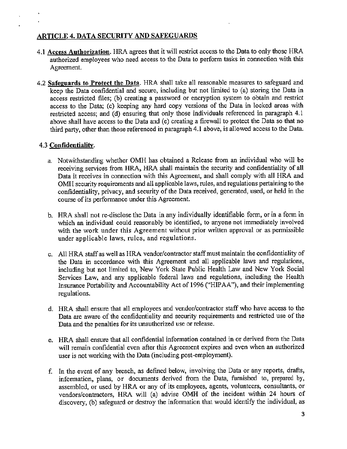# **ARTICLE** 4. **DATA SECURITY AND SAFEGUARDS**

- 4.1 Access **Authorization.** HRA agrees that it will restrict access to the Data to only those HRA authorized employees who need access to the Data to perform tasks in connection with this Agreement.
- 4.2 **Safeguards to Protect the Data.** HRA shall take all reasonable measures to safeguard and keep the Data confidential and secure, including but not limited to (a) storing the Data in access restricted files; (b) creating a password or encryption system to obtain and restrict access to the Data; (c) keeping any hard copy versions of the Data in locked areas with restricted access; and (d) ensuring that only those individuals referenced in paragraph 4.1 above shall have access to the Data and (e) creating a firewall to protect the Data so that no third party, other than those referenced in paragraph 4.1 above, is allowed access to the Data.

### 4.3 **Confidentiality.**

- a. Notwithstanding whether OMH has obtained a Release from an individual who will be receiving services from HRA, HRA shall maintain the security and confidentiality of all Data it receives in connection with this Agreement, and shall comply with all HRA and OMH security requirements and all applicable laws, rules, and regulations pertaining to the confidentiality, privacy, and security of the Data received, generated, used, or held in the course of its performance under this Agreement.
- b. HRA shall not re-disclose the Data in any individually identifiable form, or in a form in which an individual could reasonably be identified, to anyone not immediately involved with the work under this Agreement without prior written approval or as permissible under applicable laws, rules, and regulations.
- c. All HRA staff as well as HRA vendor/contractor staff must maintain the confidentiality of the Data in accordance with this Agreement and all applicable laws and regulations, including but not limited to, New York State Public Health Law and New York Social Services Law, and any applicable federal laws and regulations, including the Health Insurance Portability and Accountability Act of 1996 ("HIP AA"), and their implementing regulations.
- d. HRA shall ensure that all employees and vendor/contractor staff who have access to the Data are aware of the confidentiality and security requirements and restricted use of the Data and the penalties for its unauthorized use or release.
- e. HRA shall ensure that all confidential information contained in or derived from the Data will remain confidential even after this Agreement expires and even when an authorized user is not working with the Data (including post-employment).
- f. In the event of any breach, as defined below, involving the Data or any reports, drafts, information, plans, or documents derived from the Data, furnished to, prepared by, assembled, or used by HRA or any of its employees, agents, volunteers, consultants, or vendors/contractors, HRA will (a) advise OMH of the incident within 24 hours of discovery, (b) safeguard or destroy the information that would identify the individual, as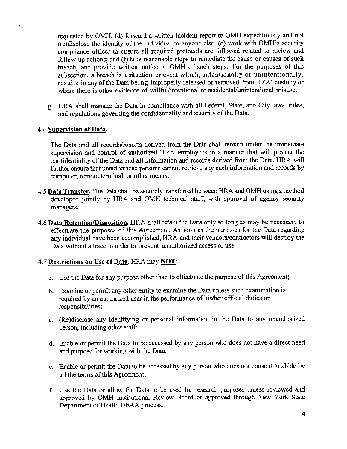requested by OMH, (d) forward a written incident report to OMH expeditiously and not (re)disclose the identity of the individual to anyone else, (e) work with OMH's security compliance officer to ensure all required protocols are followed related to review and follow-up actions; and (f) take reasonable steps to remediate the cause or causes of such breach, and provide written notice to OMH of such steps. For the purposes of this subsection, a breach is a situation or event which, intentionally or unintentionally, results in any of the Data being improperly released or removed from HRA' custody or where there is other evidence of willful/intentional or accidental/unintentional misuse.

g. HRA shall manage the Data in compliance with all Federal, State, and City laws, rules, and regulations governing the confidentiality and security of the Data.

### 4.4 **Supervision of Data.**

The Data and all records/reports derived from the Data shall remain under the immediate supervision and control of authorized HRA employees in a manner that will protect the confidentiality of the Data and all information and records derived from the Data. HRA will further ensure that unauthorized persons cannot retrieve any such information and records by computer, remote terminal, or other means.

- 4.5 **Data Transfer.** The Data shall be securely transferred between HRA and OMH using a method developed jointly by HRA and OMH technical staff, with approval of agency security managers.
- 4.6 **Data Retention/Disposition.** HRA shall retain the Data only so long as may be necessary to effectuate the purposes of this Agreement. As soon as the purposes for the Data regarding any individual have been accomplished, HRA and their vendors/contractors will destroy the Data without a trace in order to prevent unauthorized access or use.

#### 4. 7 **Restrictions on** Use **of Data.** HRA may **NOT:**

- a. Use the Data for any purpose other than to effectuate the purpose of this Agreement;
- b. Examine or permit any other entity to examine the Data unless such examination is required by an authorized user in the performance of his/her official duties or responsibilities;
- c. (Re)disclose any identifying or personal information in the Data to any unauthorized person, including other staff;
- d. Enable or permit the Data to be accessed by any person who does not have a direct need and purpose for working with the Data;
- e. Enable or permit the Data to be accessed by any person who does not consent to abide by all the terms of this Agreement;
- f. Use the Data or allow the Data to be used for research purposes unless reviewed and approved by OMH Institutional Review Board or approved through New York State Department of Health DEAA process.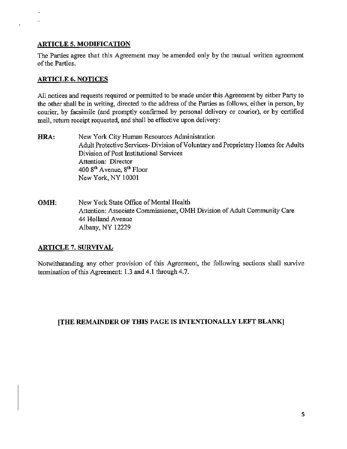## **ARTICLE 5. MODIFICATION**

The Parties agree that this Agreement may be amended only by the mutual written agreement of the Parties.

## **ARTICLE 6. NOTICES**

 $\ddot{\phantom{0}}$ 

All notices and requests required or permitted to be made under this Agreement by either Party to the other shall be in writing, directed to the address of the Parties as follows, either in person, by courier, by facsimile (and promptly confirmed by personal delivery or courier), or by certified mail, return receipt requested, and shall be effective upon delivery:

- **HRA:**  New York City Human Resources Administration Adult Protective Services- Division of Voluntary and Proprietary Homes for Adults Division of Post Institutional Services Attention: Director 400 8th A venue, 8th Floor New York, NY 10001
- **OMH:**  New York State Office of Mental Health Attention: Associate Commissioner, OMH Division of Adult Community Care 44 Holland Avenue Albany, NY 12229

# **ARTICLE 7. SURVIVAL**

Notwithstanding any other provision of this Agreement, the following sections shall survive tennination of this Agreement: 1.3 and 4.1 through 4.7.

# **[THE REMAINDER OF THIS PAGE JS INTENTIONALLY LEFT BLANK]**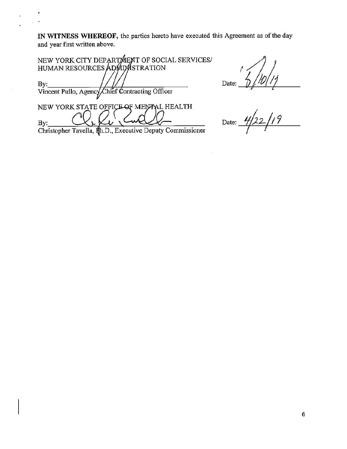IN WITNESS WHEREOF, the parties hereto have executed this Agreement as of the day and year first written above.

| NEW YORK CITY DEPART MENT OF SOCIAL SERVICES/   |
|-------------------------------------------------|
| HUMAN RESOURCES ADMIMSTRATION                   |
| By:                                             |
| Vincent Pullo, Agency Chief Contracting Officer |
| NEW YORK STATE OFFICE OF MENTAL HEALTH          |
| By:<br>$\mathbf{r}$<br>—                        |

Christopher Tavella,  $\sharp$ h.D., Executive Deputy Commissioner

Date:  $\frac{7}{2}/10/11$ <br>Date:  $\frac{4}{22}/19$ 

 $\hat{\mathcal{L}}$